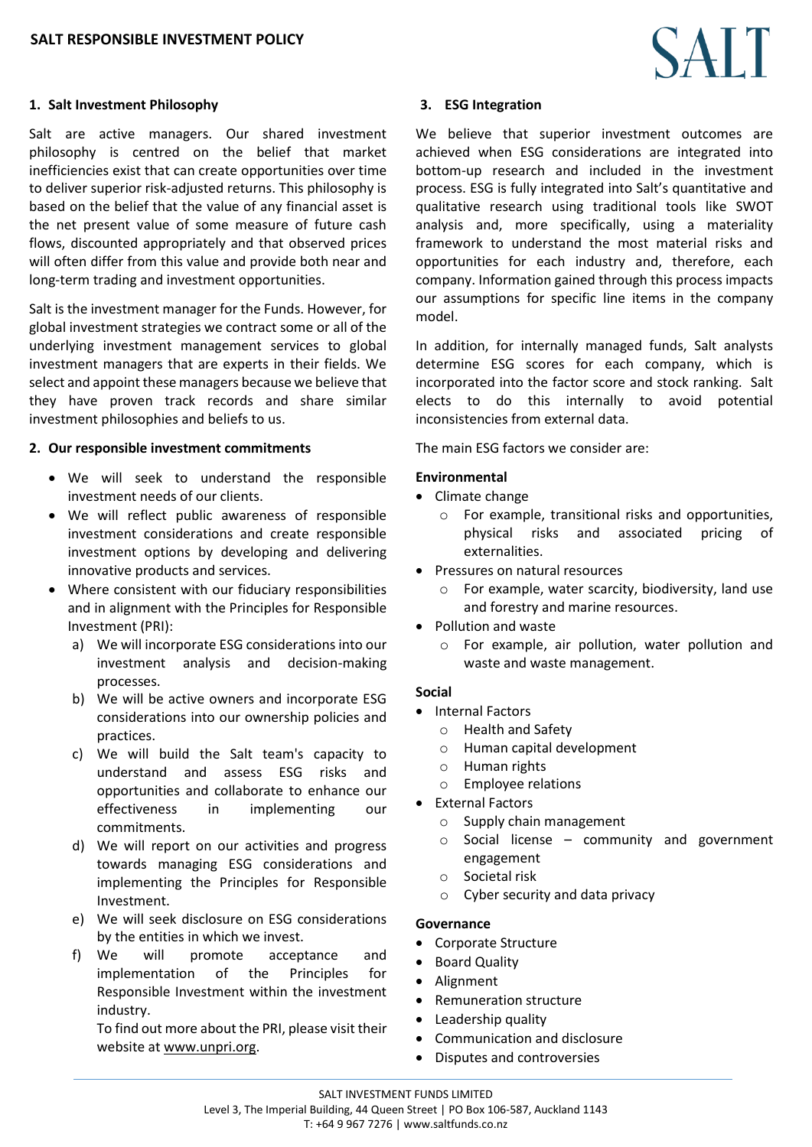# **1. Salt Investment Philosophy**

Salt are active managers. Our shared investment philosophy is centred on the belief that market inefficiencies exist that can create opportunities over time to deliver superior risk-adjusted returns. This philosophy is based on the belief that the value of any financial asset is the net present value of some measure of future cash flows, discounted appropriately and that observed prices will often differ from this value and provide both near and long-term trading and investment opportunities.

Salt is the investment manager for the Funds. However, for global investment strategies we contract some or all of the underlying investment management services to global investment managers that are experts in their fields. We select and appoint these managers because we believe that they have proven track records and share similar investment philosophies and beliefs to us.

#### **2. Our responsible investment commitments**

- We will seek to understand the responsible investment needs of our clients.
- We will reflect public awareness of responsible investment considerations and create responsible investment options by developing and delivering innovative products and services.
- Where consistent with our fiduciary responsibilities and in alignment with the Principles for Responsible Investment (PRI):
	- a) We will incorporate ESG considerations into our investment analysis and decision-making processes.
	- b) We will be active owners and incorporate ESG considerations into our ownership policies and practices.
	- c) We will build the Salt team's capacity to understand and assess ESG risks and opportunities and collaborate to enhance our effectiveness in implementing our commitments.
	- d) We will report on our activities and progress towards managing ESG considerations and implementing the Principles for Responsible Investment.
	- e) We will seek disclosure on ESG considerations by the entities in which we invest.
	- f) We will promote acceptance and implementation of the Principles for Responsible Investment within the investment industry.

To find out more about the PRI, please visit their website at [www.unpri.org.](http://www.unpri.org/)

# **3. ESG Integration**

We believe that superior investment outcomes are achieved when ESG considerations are integrated into bottom-up research and included in the investment process. ESG is fully integrated into Salt's quantitative and qualitative research using traditional tools like SWOT analysis and, more specifically, using a materiality framework to understand the most material risks and opportunities for each industry and, therefore, each company. Information gained through this process impacts our assumptions for specific line items in the company model.

In addition, for internally managed funds, Salt analysts determine ESG scores for each company, which is incorporated into the factor score and stock ranking. Salt elects to do this internally to avoid potential inconsistencies from external data.

The main ESG factors we consider are:

#### **Environmental**

- Climate change
	- o For example, transitional risks and opportunities, physical risks and associated pricing of externalities.
- Pressures on natural resources
	- o For example, water scarcity, biodiversity, land use and forestry and marine resources.
- Pollution and waste
	- o For example, air pollution, water pollution and waste and waste management.

## **Social**

- Internal Factors
	- o Health and Safety
	- o Human capital development
	- o Human rights
		- o Employee relations
- External Factors
	- o Supply chain management
	- o Social license community and government engagement
	- o Societal risk
	- o Cyber security and data privacy

## **Governance**

- Corporate Structure
- Board Quality
- Alignment
- Remuneration structure
- Leadership quality
- Communication and disclosure
- Disputes and controversies